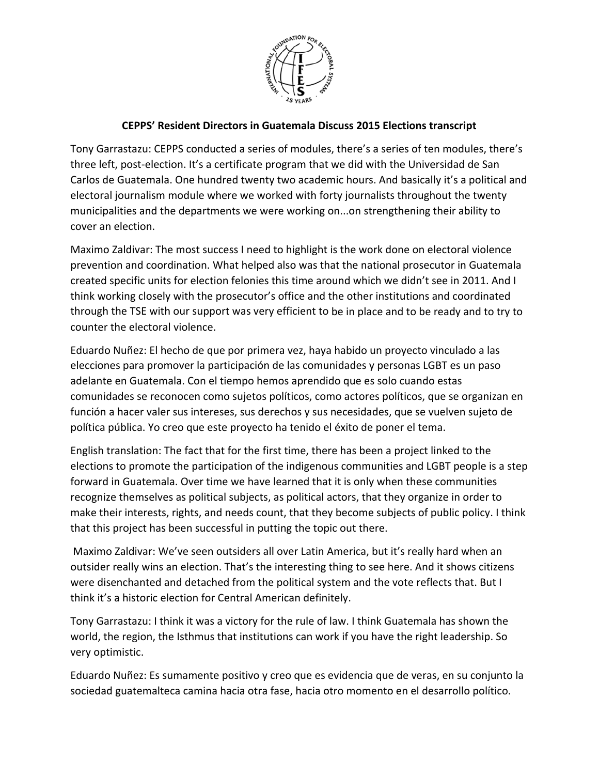

## **CEPPS' Resident Directors in Guatemala Discuss 2015 Elections transcript**

Tony Garrastazu: CEPPS conducted a series of modules, there's a series of ten modules, there's three left, post‐election. It's a certificate program that we did with the Universidad de San Carlos de Guatemala. One hundred twenty two academic hours. And basically it's a political and electoral journalism module where we worked with forty journalists throughout the twenty municipalities and the departments we were working on...on strengthening their ability to cover an election.

Maximo Zaldivar: The most success I need to highlight is the work done on electoral violence prevention and coordination. What helped also was that the national prosecutor in Guatemala created specific units for election felonies this time around which we didn't see in 2011. And I think working closely with the prosecutor's office and the other institutions and coordinated through the TSE with our support was very efficient to be in place and to be ready and to try to counter the electoral violence.

Eduardo Nuñez: El hecho de que por primera vez, haya habido un proyecto vinculado a las elecciones para promover la participación de las comunidades y personas LGBT es un paso adelante en Guatemala. Con el tiempo hemos aprendido que es solo cuando estas comunidades se reconocen como sujetos políticos, como actores políticos, que se organizan en función a hacer valer sus intereses, sus derechos y sus necesidades, que se vuelven sujeto de política pública. Yo creo que este proyecto ha tenido el éxito de poner el tema.

English translation: The fact that for the first time, there has been a project linked to the elections to promote the participation of the indigenous communities and LGBT people is a step forward in Guatemala. Over time we have learned that it is only when these communities recognize themselves as political subjects, as political actors, that they organize in order to make their interests, rights, and needs count, that they become subjects of public policy. I think that this project has been successful in putting the topic out there.

Maximo Zaldivar: We've seen outsiders all over Latin America, but it's really hard when an outsider really wins an election. That's the interesting thing to see here. And it shows citizens were disenchanted and detached from the political system and the vote reflects that. But I think it's a historic election for Central American definitely.

Tony Garrastazu: I think it was a victory for the rule of law. I think Guatemala has shown the world, the region, the Isthmus that institutions can work if you have the right leadership. So very optimistic.

Eduardo Nuñez: Es sumamente positivo y creo que es evidencia que de veras, en su conjunto la sociedad guatemalteca camina hacia otra fase, hacia otro momento en el desarrollo político.